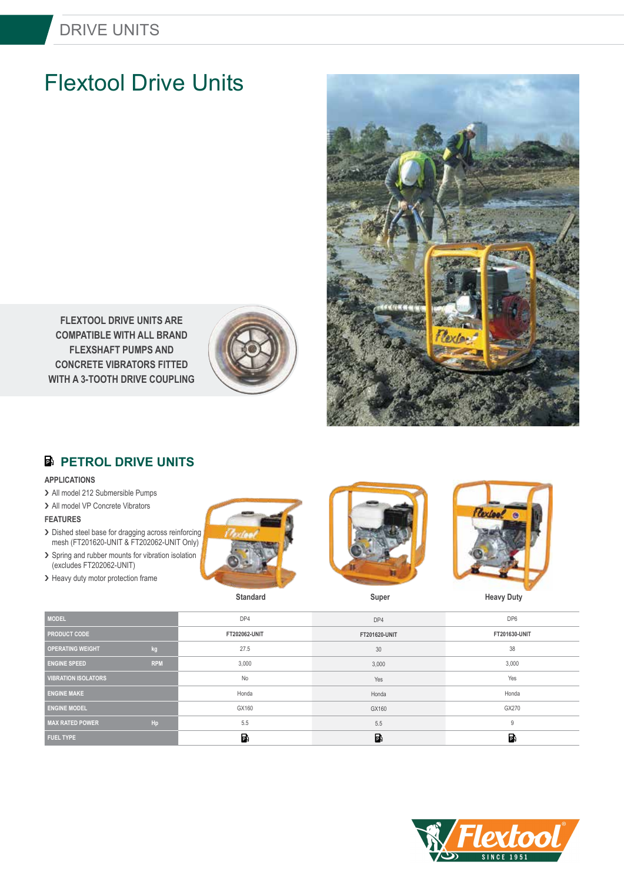## DRIVE UNITS

# Flextool Drive Units



**FLEXTOOL DRIVE UNITS ARE COMPATIBLE WITH ALL BRAND FLEXSHAFT PUMPS AND CONCRETE VIBRATORS FITTED WITH A 3-TOOTH DRIVE COUPLING**



## **B** PETROL DRIVE UNITS

#### **APPLICATIONS**

- > All model 212 Submersible Pumps
- > All model VP Concrete Vibrators

> Heavy duty motor protection frame

## **FEATURES**

- > Dished steel base for dragging across reinforcing mesh (FT201620-UNIT & FT202062-UNIT Only)
- > Spring and rubber mounts for vibration isolation (excludes FT202062-UNIT)







**Standard Super Super Heavy Duty** 

| <b>MODEL</b>               |            | DP4                  | DP4           | DP <sub>6</sub> |
|----------------------------|------------|----------------------|---------------|-----------------|
| <b>PRODUCT CODE</b>        |            | <b>FT202062-UNIT</b> | FT201620-UNIT | FT201630-UNIT   |
| <b>OPERATING WEIGHT</b>    | kg         | 27.5                 | 30            | 38              |
| <b>ENGINE SPEED</b>        | <b>RPM</b> | 3,000                | 3,000         | 3,000           |
| <b>VIBRATION ISOLATORS</b> |            | No                   | Yes           | Yes             |
| <b>ENGINE MAKE</b>         |            | Honda                | Honda         | Honda           |
| <b>ENGINE MODEL</b>        |            | GX160                | GX160         | GX270           |
| <b>MAX RATED POWER</b>     | Hp         | 5.5                  | 5.5           | 9               |
| <b>FUEL TYPE</b>           |            | Ы                    | $\mathbf{B}$  | B               |